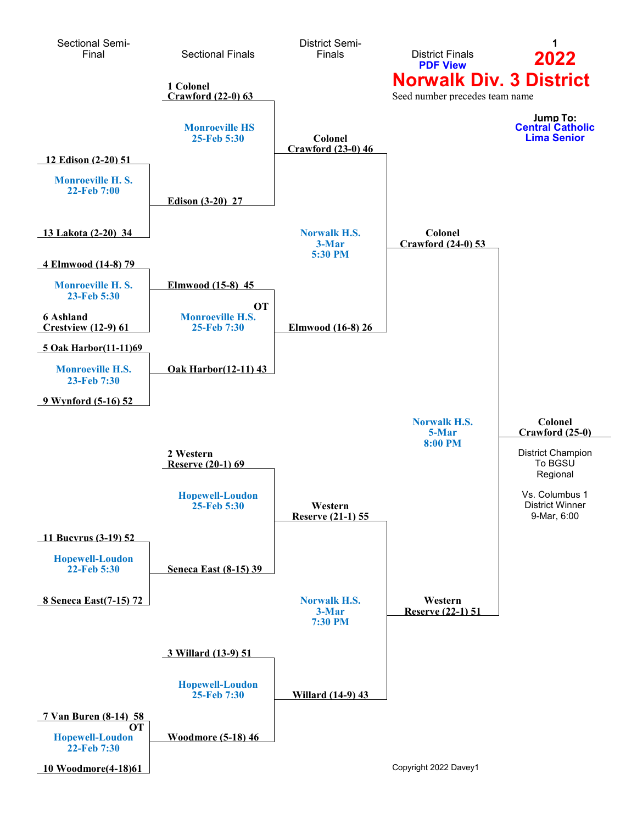<span id="page-0-0"></span>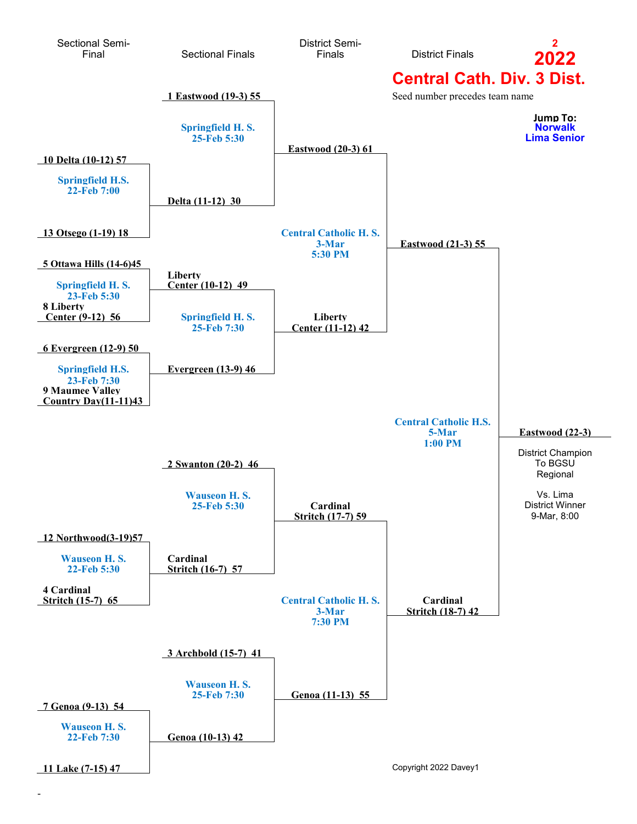<span id="page-1-0"></span>